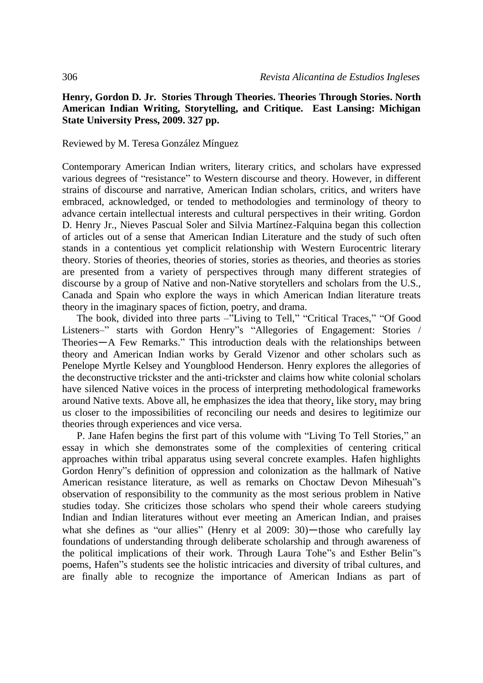## **Henry, Gordon D. Jr. Stories Through Theories. Theories Through Stories. North American Indian Writing, Storytelling, and Critique. East Lansing: Michigan State University Press, 2009. 327 pp.**

## Reviewed by M. Teresa González Mínguez

Contemporary American Indian writers, literary critics, and scholars have expressed various degrees of "resistance" to Western discourse and theory. However, in different strains of discourse and narrative, American Indian scholars, critics, and writers have embraced, acknowledged, or tended to methodologies and terminology of theory to advance certain intellectual interests and cultural perspectives in their writing. Gordon D. Henry Jr., Nieves Pascual Soler and Silvia Martínez-Falquina began this collection of articles out of a sense that American Indian Literature and the study of such often stands in a contentious yet complicit relationship with Western Eurocentric literary theory. Stories of theories, theories of stories, stories as theories, and theories as stories are presented from a variety of perspectives through many different strategies of discourse by a group of Native and non-Native storytellers and scholars from the U.S., Canada and Spain who explore the ways in which American Indian literature treats theory in the imaginary spaces of fiction, poetry, and drama.

The book, divided into three parts –"Living to Tell," "Critical Traces," "Of Good Listeners–" starts with Gordon Henry"s "Allegories of Engagement: Stories / Theories―A Few Remarks." This introduction deals with the relationships between theory and American Indian works by Gerald Vizenor and other scholars such as Penelope Myrtle Kelsey and Youngblood Henderson. Henry explores the allegories of the deconstructive trickster and the anti-trickster and claims how white colonial scholars have silenced Native voices in the process of interpreting methodological frameworks around Native texts. Above all, he emphasizes the idea that theory, like story, may bring us closer to the impossibilities of reconciling our needs and desires to legitimize our theories through experiences and vice versa.

P. Jane Hafen begins the first part of this volume with "Living To Tell Stories," an essay in which she demonstrates some of the complexities of centering critical approaches within tribal apparatus using several concrete examples. Hafen highlights Gordon Henry"s definition of oppression and colonization as the hallmark of Native American resistance literature, as well as remarks on Choctaw Devon Mihesuah"s observation of responsibility to the community as the most serious problem in Native studies today. She criticizes those scholars who spend their whole careers studying Indian and Indian literatures without ever meeting an American Indian, and praises what she defines as "our allies" (Henry et al 2009: 30)—those who carefully lay foundations of understanding through deliberate scholarship and through awareness of the political implications of their work. Through Laura Tohe"s and Esther Belin"s poems, Hafen"s students see the holistic intricacies and diversity of tribal cultures, and are finally able to recognize the importance of American Indians as part of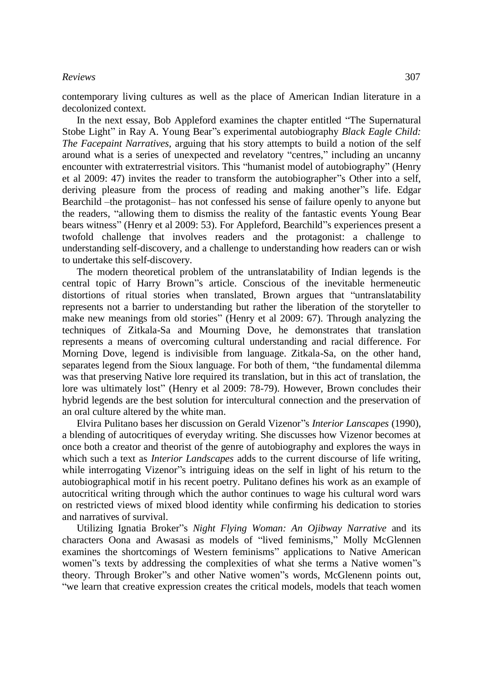## *Reviews* 307

contemporary living cultures as well as the place of American Indian literature in a decolonized context.

In the next essay, Bob Appleford examines the chapter entitled "The Supernatural Stobe Light" in Ray A. Young Bear"s experimental autobiography *Black Eagle Child: The Facepaint Narratives*, arguing that his story attempts to build a notion of the self around what is a series of unexpected and revelatory "centres," including an uncanny encounter with extraterrestrial visitors. This "humanist model of autobiography" (Henry et al 2009: 47) invites the reader to transform the autobiographer"s Other into a self, deriving pleasure from the process of reading and making another"s life. Edgar Bearchild –the protagonist– has not confessed his sense of failure openly to anyone but the readers, "allowing them to dismiss the reality of the fantastic events Young Bear bears witness" (Henry et al 2009: 53). For Appleford, Bearchild"s experiences present a twofold challenge that involves readers and the protagonist: a challenge to understanding self-discovery, and a challenge to understanding how readers can or wish to undertake this self-discovery.

The modern theoretical problem of the untranslatability of Indian legends is the central topic of Harry Brown"s article. Conscious of the inevitable hermeneutic distortions of ritual stories when translated, Brown argues that "untranslatability represents not a barrier to understanding but rather the liberation of the storyteller to make new meanings from old stories" (Henry et al 2009: 67). Through analyzing the techniques of Zitkala-Sa and Mourning Dove, he demonstrates that translation represents a means of overcoming cultural understanding and racial difference. For Morning Dove, legend is indivisible from language. Zitkala-Sa, on the other hand, separates legend from the Sioux language. For both of them, "the fundamental dilemma was that preserving Native lore required its translation, but in this act of translation, the lore was ultimately lost" (Henry et al 2009: 78-79). However, Brown concludes their hybrid legends are the best solution for intercultural connection and the preservation of an oral culture altered by the white man.

Elvira Pulitano bases her discussion on Gerald Vizenor"s *Interior Lanscapes* (1990), a blending of autocritiques of everyday writing. She discusses how Vizenor becomes at once both a creator and theorist of the genre of autobiography and explores the ways in which such a text as *Interior Landscapes* adds to the current discourse of life writing, while interrogating Vizenor"s intriguing ideas on the self in light of his return to the autobiographical motif in his recent poetry. Pulitano defines his work as an example of autocritical writing through which the author continues to wage his cultural word wars on restricted views of mixed blood identity while confirming his dedication to stories and narratives of survival.

Utilizing Ignatia Broker"s *Night Flying Woman: An Ojibway Narrative* and its characters Oona and Awasasi as models of "lived feminisms," Molly McGlennen examines the shortcomings of Western feminisms" applications to Native American women"s texts by addressing the complexities of what she terms a Native women"s theory. Through Broker"s and other Native women"s words, McGlenenn points out, "we learn that creative expression creates the critical models, models that teach women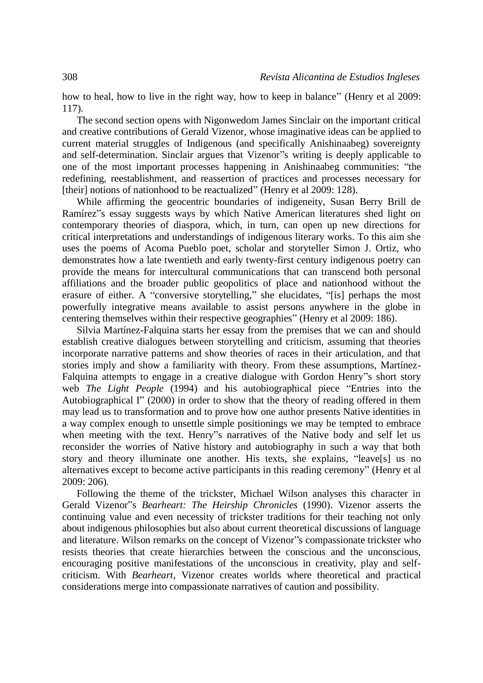how to heal, how to live in the right way, how to keep in balance" (Henry et al 2009: 117).

The second section opens with Nigonwedom James Sinclair on the important critical and creative contributions of Gerald Vizenor, whose imaginative ideas can be applied to current material struggles of Indigenous (and specifically Anishinaabeg) sovereignty and self-determination. Sinclair argues that Vizenor"s writing is deeply applicable to one of the most important processes happening in Anishinaabeg communities: "the redefining, reestablishment, and reassertion of practices and processes necessary for [their] notions of nationhood to be reactualized" (Henry et al 2009: 128).

While affirming the geocentric boundaries of indigeneity, Susan Berry Brill de Ramírez"s essay suggests ways by which Native American literatures shed light on contemporary theories of diaspora, which, in turn, can open up new directions for critical interpretations and understandings of indigenous literary works. To this aim she uses the poems of Acoma Pueblo poet, scholar and storyteller Simon J. Ortiz, who demonstrates how a late twentieth and early twenty-first century indigenous poetry can provide the means for intercultural communications that can transcend both personal affiliations and the broader public geopolitics of place and nationhood without the erasure of either. A "conversive storytelling," she elucidates, "[is] perhaps the most powerfully integrative means available to assist persons anywhere in the globe in centering themselves within their respective geographies" (Henry et al 2009: 186).

Silvia Martínez-Falquina starts her essay from the premises that we can and should establish creative dialogues between storytelling and criticism, assuming that theories incorporate narrative patterns and show theories of races in their articulation, and that stories imply and show a familiarity with theory. From these assumptions, Martínez-Falquina attempts to engage in a creative dialogue with Gordon Henry"s short story web *The Light People* (1994) and his autobiographical piece "Entries into the Autobiographical I" (2000) in order to show that the theory of reading offered in them may lead us to transformation and to prove how one author presents Native identities in a way complex enough to unsettle simple positionings we may be tempted to embrace when meeting with the text. Henry"s narratives of the Native body and self let us reconsider the worries of Native history and autobiography in such a way that both story and theory illuminate one another. His texts, she explains, "leave[s] us no alternatives except to become active participants in this reading ceremony" (Henry et al 2009: 206).

Following the theme of the trickster, Michael Wilson analyses this character in Gerald Vizenor"s *Bearheart: The Heirship Chronicles* (1990). Vizenor asserts the continuing value and even necessity of trickster traditions for their teaching not only about indigenous philosophies but also about current theoretical discussions of language and literature. Wilson remarks on the concept of Vizenor"s compassionate trickster who resists theories that create hierarchies between the conscious and the unconscious, encouraging positive manifestations of the unconscious in creativity, play and selfcriticism. With *Bearheart*, Vizenor creates worlds where theoretical and practical considerations merge into compassionate narratives of caution and possibility.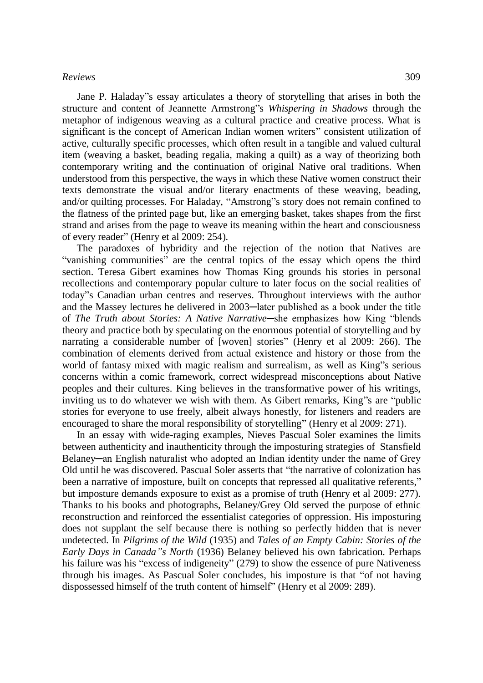## *Reviews* 309

Jane P. Haladay"s essay articulates a theory of storytelling that arises in both the structure and content of Jeannette Armstrong"s *Whispering in Shadows* through the metaphor of indigenous weaving as a cultural practice and creative process. What is significant is the concept of American Indian women writers" consistent utilization of active, culturally specific processes, which often result in a tangible and valued cultural item (weaving a basket, beading regalia, making a quilt) as a way of theorizing both contemporary writing and the continuation of original Native oral traditions. When understood from this perspective, the ways in which these Native women construct their texts demonstrate the visual and/or literary enactments of these weaving, beading, and/or quilting processes. For Haladay, "Amstrong"s story does not remain confined to the flatness of the printed page but, like an emerging basket, takes shapes from the first strand and arises from the page to weave its meaning within the heart and consciousness of every reader" (Henry et al 2009: 254).

The paradoxes of hybridity and the rejection of the notion that Natives are "vanishing communities" are the central topics of the essay which opens the third section. Teresa Gibert examines how Thomas King grounds his stories in personal recollections and contemporary popular culture to later focus on the social realities of today"s Canadian urban centres and reserves. Throughout interviews with the author and the Massey lectures he delivered in 2003─later published as a book under the title of *The Truth about Stories: A Native Narrative*-she emphasizes how King "blends theory and practice both by speculating on the enormous potential of storytelling and by narrating a considerable number of [woven] stories" (Henry et al 2009: 266). The combination of elements derived from actual existence and history or those from the world of fantasy mixed with magic realism and surrealism, as well as King"s serious concerns within a comic framework, correct widespread misconceptions about Native peoples and their cultures. King believes in the transformative power of his writings, inviting us to do whatever we wish with them. As Gibert remarks, King"s are "public stories for everyone to use freely, albeit always honestly, for listeners and readers are encouraged to share the moral responsibility of storytelling" (Henry et al 2009: 271).

In an essay with wide-raging examples, Nieves Pascual Soler examines the limits between authenticity and inauthenticity through the imposturing strategies of Stansfield Belaney—an English naturalist who adopted an Indian identity under the name of Grey Old until he was discovered. Pascual Soler asserts that "the narrative of colonization has been a narrative of imposture, built on concepts that repressed all qualitative referents," but imposture demands exposure to exist as a promise of truth (Henry et al 2009: 277). Thanks to his books and photographs, Belaney/Grey Old served the purpose of ethnic reconstruction and reinforced the essentialist categories of oppression. His imposturing does not supplant the self because there is nothing so perfectly hidden that is never undetected. In *Pilgrims of the Wild* (1935) and *Tales of an Empty Cabin: Stories of the Early Days in Canada"s North* (1936) Belaney believed his own fabrication. Perhaps his failure was his "excess of indigeneity" (279) to show the essence of pure Nativeness through his images. As Pascual Soler concludes, his imposture is that "of not having dispossessed himself of the truth content of himself" (Henry et al 2009: 289).